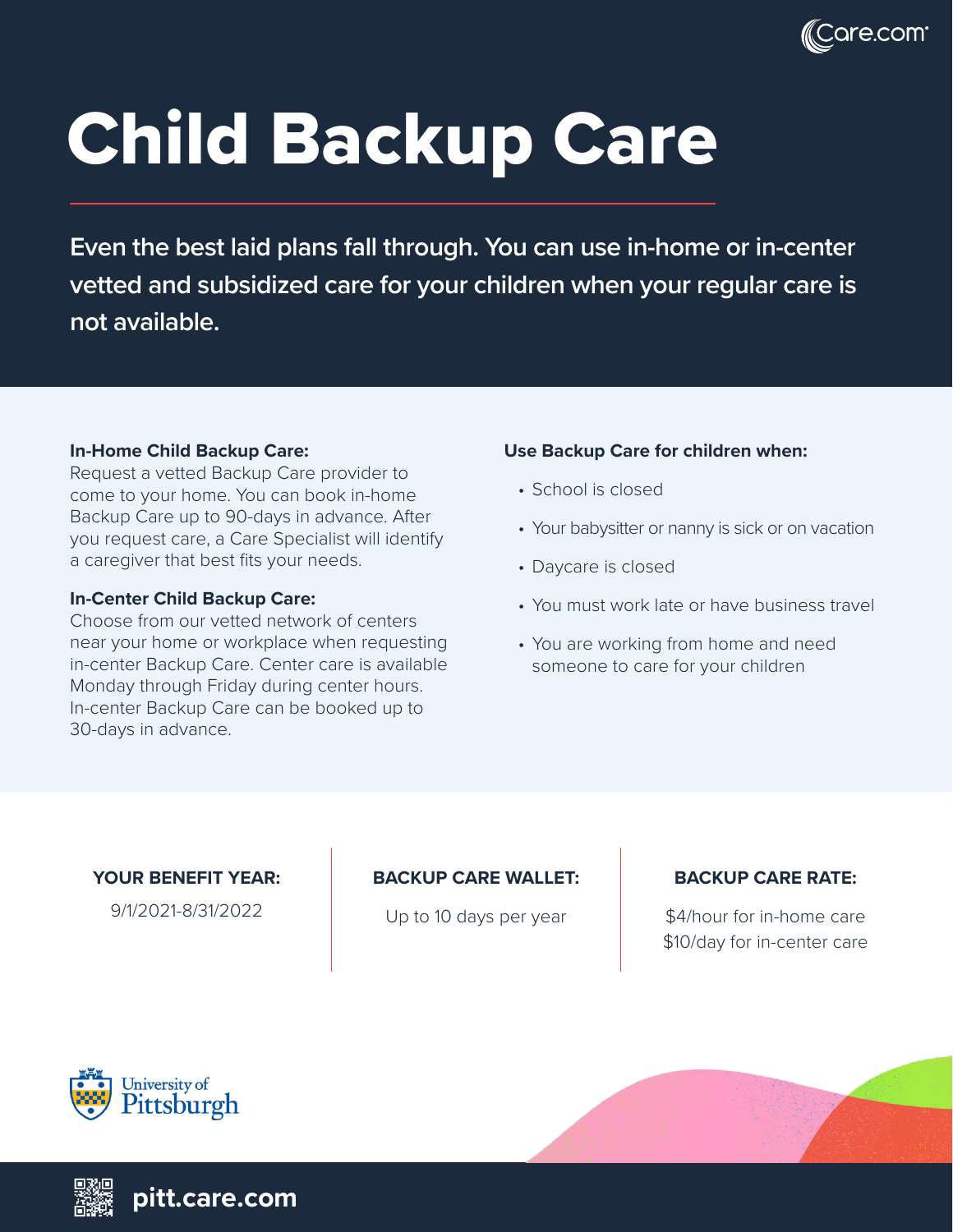

# Child Backup Care

**Even the best laid plans fall through. You can use in-home or in-center vetted and subsidized care for your children when your regular care is not available.**

#### **In-Home Child Backup Care:**

Request a vetted Backup Care provider to come to your home. You can book in-home Backup Care up to 90-days in advance. After you request care, a Care Specialist will identify a caregiver that best fits your needs.

#### **In-Center Child Backup Care:**

Choose from our vetted network of centers near your home or workplace when requesting in-center Backup Care. Center care is available Monday through Friday during center hours. In-center Backup Care can be booked up to 30-days in advance.

#### **Use Backup Care for children when:**

- School is closed
- Your babysitter or nanny is sick or on vacation
- Daycare is closed
- You must work late or have business travel
- You are working from home and need someone to care for your children

#### **YOUR BENEFIT YEAR:**

9/1/2021-8/31/2022

#### **BACKUP CARE WALLET:**

Up to 10 days per year

## **BACKUP CARE RATE:**

\$4/hour for in-home care \$10/day for in-center care